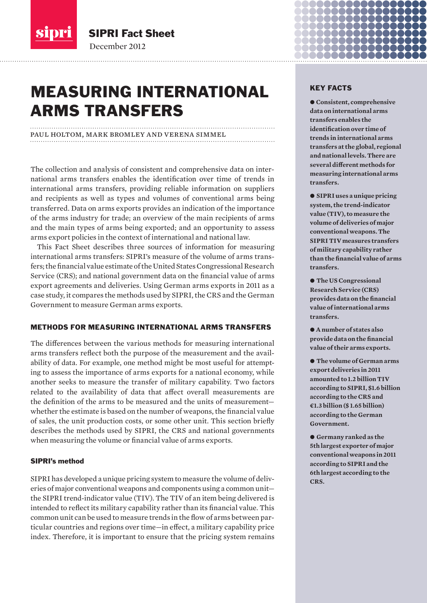

December 2012

SIPRI Fact Sheet

paul holtom, mark bromley and verena simmel

# MEASURING INTERNATIONAL ARMS TRANSFERS

The collection and analysis of consistent and comprehensive data on international arms transfers enables the identification over time of trends in international arms transfers, providing reliable information on suppliers and recipients as well as types and volumes of conventional arms being transferred. Data on arms exports provides an indication of the importance of the arms industry for trade; an overview of the main recipients of arms and the main types of arms being exported; and an opportunity to assess arms export policies in the context of international and national law.

This Fact Sheet describes three sources of information for measuring international arms transfers: SIPRI's measure of the volume of arms transfers; the financial value estimate of the United States Congressional Research Service (CRS); and national government data on the financial value of arms export agreements and deliveries. Using German arms exports in 2011 as a case study, it compares the methods used by SIPRI, the CRS and the German Government to measure German arms exports.

# METHODS FOR MEASURING INTERNATIONAL ARMS TRANSFERS

The differences between the various methods for measuring international arms transfers reflect both the purpose of the measurement and the availability of data. For example, one method might be most useful for attempting to assess the importance of arms exports for a national economy, while another seeks to measure the transfer of military capability. Two factors related to the availability of data that affect overall measurements are the definition of the arms to be measured and the units of measurement whether the estimate is based on the number of weapons, the financial value of sales, the unit production costs, or some other unit. This section briefly describes the methods used by SIPRI, the CRS and national governments when measuring the volume or financial value of arms exports.

### SIPRI's method

SIPRI has developed a unique pricing system to measure the volume of deliveries of major conventional weapons and components using a common unit the SIPRI trend-indicator value (TIV). The TIV of an item being delivered is intended to reflect its military capability rather than its financial value. This common unit can be used to measure trends in the flow of arms between particular countries and regions over time—in effect, a military capability price index. Therefore, it is important to ensure that the pricing system remains

# KEY FACTS

a a a a a e de la companya

 $\bullet$  Consistent, comprehensive **data on international arms transfers enables the identification over time of trends in international arms transfers at the global, regional and national levels. There are several different methods for measuring international arms transfers.** 

 $\bullet$  SIPRI uses a unique pricing **system, the trend-indicator value (TIV), to measure the volume of deliveries of major conventional weapons. The SIPRI TIV measures transfers of military capability rather than the financial value of arms transfers.** 

 $\bullet$  **The US Congressional Research Service (CRS) provides data on the financial value of international arms transfers.**

● A number of states also **provide data on the financial value of their arms exports.** 

 $\bullet$  The volume of German arms **export deliveries in 2011 amounted to 1.2 billion TIV according to SIPRI, \$1.6 billion according to the CRS and €1.3 billion (\$ 1.65 billion) according to the German Government.** 

 $\bullet$  Germany ranked as the **5th largest exporter of major conventional weapons in 2011 according to SIPRI and the 6th largest according to the CRS.**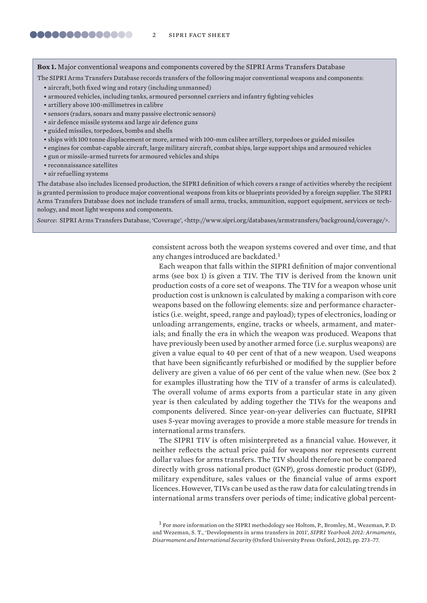**Box 1.** Major conventional weapons and components covered by the SIPRI Arms Transfers Database

The SIPRI Arms Transfers Database records transfers of the following major conventional weapons and components:

- aircraft, both fixed wing and rotary (including unmanned)
- armoured vehicles, including tanks, armoured personnel carriers and infantry fighting vehicles
- artillery above 100-millimetres in calibre
- sensors (radars, sonars and many passive electronic sensors)
- air defence missile systems and large air defence guns
- guided missiles, torpedoes, bombs and shells
- ships with 100 tonne displacement or more, armed with 100-mm calibre artillery, torpedoes or guided missiles
- engines for combat-capable aircraft, large military aircraft, combat ships, large support ships and armoured vehicles
- gun or missile-armed turrets for armoured vehicles and ships
- reconnaissance satellites
- air refuelling systems

The database also includes licensed production, the SIPRI definition of which covers a range of activities whereby the recipient is granted permission to produce major conventional weapons from kits or blueprints provided by a foreign supplier. The SIPRI Arms Transfers Database does not include transfers of small arms, trucks, ammunition, support equipment, services or technology, and most light weapons and components.

*Source*: SIPRI Arms Transfers Database, 'Coverage', <http://www.sipri.org/databases/armstransfers/background/coverage/>.

consistent across both the weapon systems covered and over time, and that any changes introduced are backdated.<sup>1</sup>

Each weapon that falls within the SIPRI definition of major conventional arms (see box 1) is given a TIV. The TIV is derived from the known unit production costs of a core set of weapons. The TIV for a weapon whose unit production cost is unknown is calculated by making a comparison with core weapons based on the following elements: size and performance characteristics (i.e. weight, speed, range and payload); types of electronics, loading or unloading arrangements, engine, tracks or wheels, armament, and materials; and finally the era in which the weapon was produced. Weapons that have previously been used by another armed force (i.e. surplus weapons) are given a value equal to 40 per cent of that of a new weapon. Used weapons that have been significantly refurbished or modified by the supplier before delivery are given a value of 66 per cent of the value when new. (See box 2 for examples illustrating how the TIV of a transfer of arms is calculated). The overall volume of arms exports from a particular state in any given year is then calculated by adding together the TIVs for the weapons and components delivered. Since year-on-year deliveries can fluctuate, SIPRI uses 5-year moving averages to provide a more stable measure for trends in international arms transfers.

The SIPRI TIV is often misinterpreted as a financial value. However, it neither reflects the actual price paid for weapons nor represents current dollar values for arms transfers. The TIV should therefore not be compared directly with gross national product (GNP), gross domestic product (GDP), military expenditure, sales values or the financial value of arms export licences. However, TIVs can be used as the raw data for calculating trends in international arms transfers over periods of time; indicative global percent-

<sup>1</sup> For more information on the SIPRI methodology see Holtom, P., Bromley, M., Wezeman, P. D. and Wezeman, S. T., 'Developments in arms transfers in 2011', *SIPRI Yearbook 2012: Armaments, Disarmament and International Security* (Oxford University Press: Oxford, 2012), pp. 273–77.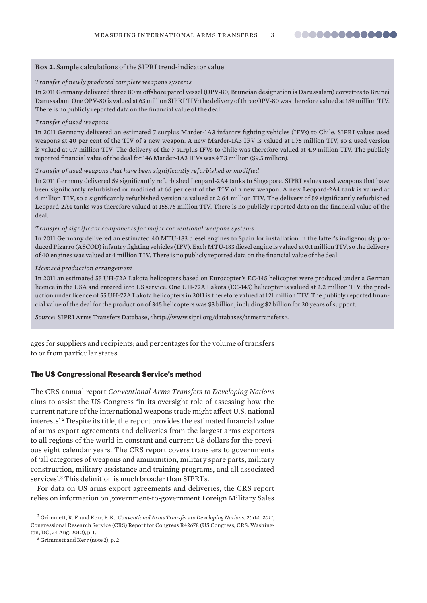#### **Box 2.** Sample calculations of the SIPRI trend-indicator value

#### *Transfer of newly produced complete weapons systems*

In 2011 Germany delivered three 80 m offshore patrol vessel (OPV-80; Bruneian designation is Darussalam) corvettes to Brunei Darussalam. One OPV-80 is valued at 63 million SIPRI TIV; the delivery of three OPV-80 was therefore valued at 189 million TIV. There is no publicly reported data on the financial value of the deal.

#### *Transfer of used weapons*

In 2011 Germany delivered an estimated 7 surplus Marder-1A3 infantry fighting vehicles (IFVs) to Chile. SIPRI values used weapons at 40 per cent of the TIV of a new weapon. A new Marder-1A3 IFV is valued at 1.75 million TIV, so a used version is valued at 0.7 million TIV. The delivery of the 7 surplus IFVs to Chile was therefore valued at 4.9 million TIV. The publicly reported financial value of the deal for 146 Marder-1A3 IFVs was €7.3 million (\$9.5 million).

#### *Transfer of used weapons that have been significantly refurbished or modified*

In 2011 Germany delivered 59 significantly refurbished Leopard-2A4 tanks to Singapore. SIPRI values used weapons that have been significantly refurbished or modified at 66 per cent of the TIV of a new weapon. A new Leopard-2A4 tank is valued at 4 million TIV, so a significantly refurbished version is valued at 2.64 million TIV. The delivery of 59 significantly refurbished Leopard-2A4 tanks was therefore valued at 155.76 million TIV. There is no publicly reported data on the financial value of the deal.

#### *Transfer of significant components for major conventional weapons systems*

In 2011 Germany delivered an estimated 40 MTU-183 diesel engines to Spain for installation in the latter's indigenously produced Pizarro (ASCOD) infantry fighting vehicles (IFV). Each MTU-183 diesel engine is valued at 0.1 million TIV, so the delivery of 40 engines was valued at 4 million TIV. There is no publicly reported data on the financial value of the deal.

#### *Licensed production arrangement*

In 2011 an estimated 55 UH-72A Lakota helicopters based on Eurocopter's EC-145 helicopter were produced under a German licence in the USA and entered into US service. One UH-72A Lakota (EC-145) helicopter is valued at 2.2 million TIV; the production under licence of 55 UH-72A Lakota helicopters in 2011 is therefore valued at 121 million TIV. The publicly reported financial value of the deal for the production of 345 helicopters was \$3 billion, including \$2 billion for 20 years of support.

*Source*: SIPRI Arms Transfers Database, <http://www.sipri.org/databases/armstransfers>.

ages for suppliers and recipients; and percentages for the volume of transfers to or from particular states.

#### The US Congressional Research Service's method

The CRS annual report *Conventional Arms Transfers to Developing Nations* aims to assist the US Congress 'in its oversight role of assessing how the current nature of the international weapons trade might affect U.S. national interests'.<sup>2</sup> Despite its title, the report provides the estimated financial value of arms export agreements and deliveries from the largest arms exporters to all regions of the world in constant and current US dollars for the previous eight calendar years. The CRS report covers transfers to governments of 'all categories of weapons and ammunition, military spare parts, military construction, military assistance and training programs, and all associated services'.<sup>3</sup> This definition is much broader than SIPRI's.

For data on US arms export agreements and deliveries, the CRS report relies on information on government-to-government Foreign Military Sales

<sup>2</sup> Grimmett, R. F. and Kerr, P. K., *Conventional Arms Transfers to Developing Nations, 2004–2011*, Congressional Research Service (CRS) Report for Congress R42678 (US Congress, CRS: Washington, DC, 24 Aug. 2012), p. 1.

 $3$  Grimmett and Kerr (note 2), p. 2.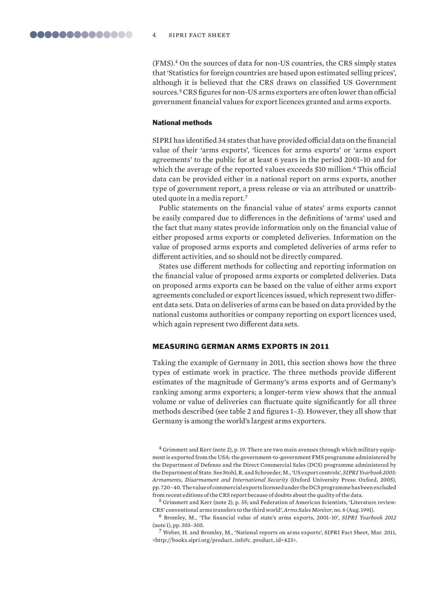(FMS).<sup>4</sup> On the sources of data for non-US countries, the CRS simply states that 'Statistics for foreign countries are based upon estimated selling prices', although it is believed that the CRS draws on classified US Government sources.<sup>5</sup> CRS figures for non-US arms exporters are often lower than official government financial values for export licences granted and arms exports.

#### National methods

SIPRI has identified 34 states that have provided official data on the financial value of their 'arms exports', 'licences for arms exports' or 'arms export agreements' to the public for at least 6 years in the period 2001–10 and for which the average of the reported values exceeds \$10 million.<sup>6</sup> This official data can be provided either in a national report on arms exports, another type of government report, a press release or via an attributed or unattributed quote in a media report.<sup>7</sup>

Public statements on the financial value of states' arms exports cannot be easily compared due to differences in the definitions of 'arms' used and the fact that many states provide information only on the financial value of either proposed arms exports or completed deliveries. Information on the value of proposed arms exports and completed deliveries of arms refer to different activities, and so should not be directly compared.

States use different methods for collecting and reporting information on the financial value of proposed arms exports or completed deliveries. Data on proposed arms exports can be based on the value of either arms export agreements concluded or export licences issued, which represent two different data sets. Data on deliveries of arms can be based on data provided by the national customs authorities or company reporting on export licences used, which again represent two different data sets.

#### MEASURING GERMAN ARMS EXPORTS IN 2011

Taking the example of Germany in 2011, this section shows how the three types of estimate work in practice. The three methods provide different estimates of the magnitude of Germany's arms exports and of Germany's ranking among arms exporters; a longer-term view shows that the annual volume or value of deliveries can fluctuate quite significantly for all three methods described (see table 2 and figures 1–3). However, they all show that Germany is among the world's largest arms exporters.

<sup>4</sup> Grimmett and Kerr (note 2), p. 19. There are two main avenues through which military equipment is exported from the USA: the government-to-government FMS programme administered by the Department of Defense and the Direct Commercial Sales (DCS) programme administered by the Department of State. See Stohl, R. and Schroeder, M., 'US export controls', *SIPRI Yearbook 2005: Armaments, Disarmament and International Security* (Oxford University Press: Oxford, 2005), pp. 720–40. The value of commercial exports licensed under the DCS programme has been excluded from recent editions of the CRS report because of doubts about the quality of the data.

<sup>5</sup> Grimmett and Kerr (note 2), p. 35; and Federation of American Scientists, 'Literature review: CRS' conventional arms transfers to the third world', *Arms Sales Monitor*, no. 6 (Aug. 1991).

<sup>6</sup> Bromley, M., 'The financial value of state's arms exports, 2001–10', *SIPRI Yearbook 2012*  (note 1), pp. 303–305.

<sup>7</sup> Weber, H. and Bromley, M., 'National reports on arms exports', SIPRI Fact Sheet, Mar. 2011, <http://books.sipri.org/product\_info?c\_product\_id=423>.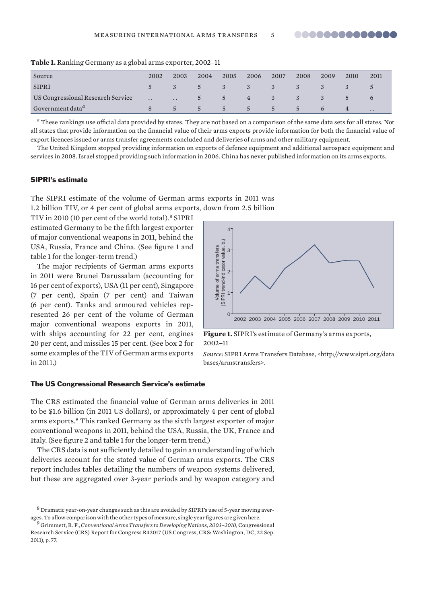| Source                            | 2002                      | 2003          | 2004        | 2005 | 2006         | 2007 | 2008           | 2009 | 2010          | 2011                 |
|-----------------------------------|---------------------------|---------------|-------------|------|--------------|------|----------------|------|---------------|----------------------|
| <b>SIPRI</b>                      |                           |               | $5 -$       | $-3$ | $\mathbf{3}$ | 3    |                |      |               |                      |
| US Congressional Research Service | <b>Carl Communication</b> |               | $5^{\circ}$ | $-5$ | 4 3          |      | $\overline{3}$ |      | $\mathcal{D}$ |                      |
| Government data <sup>a</sup>      |                           | $\mathcal{L}$ | $5 -$       | $-5$ | $-5$         | $5-$ | $5^{\circ}$    |      |               | $\ddot{\phantom{0}}$ |

**Table 1.** Ranking Germany as a global arms exporter, 2002–11

*a* These rankings use official data provided by states. They are not based on a comparison of the same data sets for all states. Not all states that provide information on the financial value of their arms exports provide information for both the financial value of export licences issued or arms transfer agreements concluded and deliveries of arms and other military equipment.

The United Kingdom stopped providing information on exports of defence equipment and add itional aerospace equipment and services in 2008. Israel stopped providing such information in 2006. China has never published information on its arms exports.

#### SIPRI's estimate

The SIPRI estimate of the volume of German arms exports in 2011 was 1.2 billion TIV, or 4 per cent of global arms exports, down from 2.5 billion

TIV in 2010 (10 per cent of the world total).<sup>8</sup> SIPRI estimated Germany to be the fifth largest exporter of major conventional weapons in 2011, behind the USA, Russia, France and China. (See figure 1 and table 1 for the longer-term trend.)

The major recipients of German arms exports in 2011 were Brunei Darussalam (accounting for 16 per cent of exports), USA (11 per cent), Singapore (7 per cent), Spain (7 per cent) and Taiwan (6 per cent). Tanks and armoured vehicles represented 26 per cent of the volume of German major conventional weapons exports in 2011, with ships accounting for 22 per cent, engines 20 per cent, and missiles 15 per cent. (See box 2 for some examples of the TIV of German arms exports in 2011.)



#### **Figure 1.** SIPRI's estimate of Germany's arms exports, 2002–11

*Source*: SIPRI Arms Transfers Database, <http://www.sipri.org/data bases/armstransfers>.

# The US Congressional Research Service's estimate

The CRS estimated the financial value of German arms deliveries in 2011 to be \$1.6 billion (in 2011 US dollars), or approximately 4 per cent of global arms exports.<sup>9</sup> This ranked Germany as the sixth largest exporter of major conventional weapons in 2011, behind the USA, Russia, the UK, France and Italy. (See figure 2 and table 1 for the longer-term trend.)

The CRS data is not sufficiently detailed to gain an understanding of which deliveries account for the stated value of German arms exports. The CRS report includes tables detailing the numbers of weapon systems delivered, but these are aggregated over 3-year periods and by weapon category and

 $8$  Dramatic year-on-year changes such as this are avoided by SIPRI's use of 5-year moving averages. To allow comparison with the other types of measure, single year figures are given here.

<sup>9</sup> Grimmett, R. F., *Conventional Arms Transfers to Developing Nations, 2003–2010*, Congressional Research Service (CRS) Report for Congress R42017 (US Congress, CRS: Washington, DC, 22 Sep. 2011), p. 77.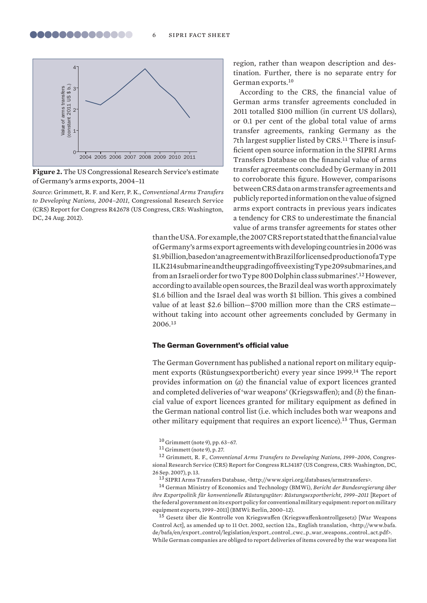

**Figure 2.** The US Congressional Research Service's estimate of Germany's arms exports, 2004–11

*Source*: Grimmett, R. F. and Kerr, P. K., *Conventional Arms Transfers to Developing Nations, 2004–2011*, Congressional Research Service (CRS) Report for Congress R42678 (US Congress, CRS: Washington, DC, 24 Aug. 2012).

region, rather than weapon description and destination. Further, there is no separate entry for German exports.<sup>10</sup>

According to the CRS, the financial value of German arms transfer agreements concluded in 2011 totalled \$100 million (in current US dollars), or 0.1 per cent of the global total value of arms transfer agreements, ranking Germany as the 7th largest supplier listed by CRS.<sup>11</sup> There is insufficient open source information in the SIPRI Arms Transfers Database on the financial value of arms transfer agreements concluded by Germany in 2011 to corroborate this figure. However, comparisons between CRS data on arms transfer agreements and publicly reported information on the value of signed arms export contracts in previous years indicates a tendency for CRS to underestimate the financial value of arms transfer agreements for states other

than the USA. For example, the 2007 CRS report stated that the financial value of Germany's arms export agreements with developing countries in 2006 was \$1.9 billion, based on 'an agreement with Brazil for licensed production of a Type ILK 214 submarine and the upgrading of five existing Type 209 submarines, and from an Israeli order for two Type 800 Dolphin class submarines'.<sup>12</sup> However, according to available open sources, the Brazil deal was worth approximately \$1.6 billion and the Israel deal was worth \$1 billion. This gives a combined value of at least \$2.6 billion—\$700 million more than the CRS estimate without taking into account other agreements concluded by Germany in 2006.<sup>13</sup>

#### The German Government's official value

The German Government has published a national report on military equipment exports (Rüstungsexportbericht) every year since 1999.<sup>14</sup> The report provides information on (*a*) the financial value of export licences granted and completed deliveries of 'war weapons' (Kriegswaffen); and (*b*) the financial value of export licences granted for military equipment as defined in the German national control list (i.e. which includes both war weapons and other military equipment that requires an export licence).<sup>15</sup> Thus, German

<sup>10</sup> Grimmett (note 9), pp. 63–67.

<sup>11</sup> Grimmett (note 9), p. 27.

<sup>12</sup> Grimmett, R. F., *Conventional Arms Transfers to Developing Nations, 1999–2006*, Congressional Research Service (CRS) Report for Congress RL34187 (US Congress, CRS: Washington, DC, 26 Sep. 2007), p. 13.

<sup>13</sup> SIPRI Arms Transfers Database, <http://www.sipri.org/databases/armstransfers>.

<sup>14</sup> German Ministry of Economics and Technology (BMWi), *Bericht der Bundesregierung über ihre Exportpolitik für konventionelle Rüstungsgüter: Rüstungsexportbericht, 1999–2011* [Report of the federal government on its export policy for conventional military equipment: report on military equipment exports, 1999–2011] (BMWi: Berlin, 2000–12).

<sup>15</sup> Gesetz über die Kontrolle von Kriegswaffen (Kriegswaffenkontrollgesetz) [War Weapons Control Act], as amended up to 11 Oct. 2002, section 12a., English translation, <http://www.bafa. de/bafa/en/export\_control/legislation/export\_control\_cwc\_p\_war\_weapons\_control\_act.pdf>. While German companies are obliged to report deliveries of items covered by the war weapons list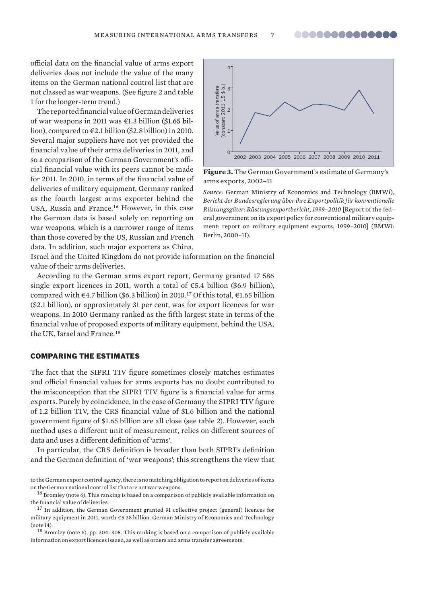8888888888888

official data on the financial value of arms export deliveries does not include the value of the many items on the German national control list that are not classed as war weapons. (See figure 2 and table 1 for the longer-term trend.)

The reported financial value of German deliveries of war weapons in 2011 was  $\epsilon$ 1.3 billion (\$1.65 billion), compared to €2.1 billion (\$2.8 billion) in 2010. Several major suppliers have not yet provided the financial value of their arms deliveries in 2011, and so a comparison of the German Government's official financial value with its peers cannot be made for 2011. In 2010, in terms of the financial value of deliveries of military equipment, Germany ranked as the fourth largest arms exporter behind the USA, Russia and France.<sup>16</sup> However, in this case the German data is based solely on reporting on war weapons, which is a narrower range of items than those covered by the US, Russian and French data. In addition, such major exporters as China, not classed as war weapons. (See figure 2 and table<br>
if the longer-term trend)<br>
if the longer-term trend)<br>
The reported financial value of German deliveries<br>
of war weapons in 2011 was 4:3 billion (8.1.8 billion (1.01.8 b



**Figure 3.** The German Government's estimate of Germany's arms exports, 2002–11

*Source*: German Ministry of Economics and Technology (BMWi), *Bericht der Bundesregierung über ihre Exportpolitik für konventionelle Rüstungsgüter: Rüstungsexportbericht, 1999–2010* [Report of the federal government on its export policy for conventional military equipment: report on military equipment exports, 1999–2010] (BMWi: Berlin, 2000–11).

Israel and the United Kingdom do not provide information on the financial value of their arms deliveries.

According to the German arms export report, Germany granted 17 586 single export licences in 2011, worth a total of  $\epsilon$ 5.4 billion (\$6.9 billion), compared with  $\epsilon$ 4.7 billion (\$6.3 billion) in 2010.<sup>17</sup> Of this total,  $\epsilon$ 1.65 billion (\$2.1 billion), or approximately 31 per cent, was for export licences for war weapons. In 2010 Germany ranked as the fifth largest state in terms of the financial value of proposed exports of military equipment, behind the USA, the UK, Israel and France.<sup>18</sup>

# COMPARING THE ESTIMATES

The fact that the SIPRI TIV figure sometimes closely matches estimates and official financial values for arms exports has no doubt contributed to the misconception that the SIPRI TIV figure is a financial value for arms exports. Purely by coincidence, in the case of Germany the SIPRI TIV figure of 1.2 billion TIV, the CRS financial value of \$1.6 billion and the national govern ment figure of \$1.65 billion are all close (see table 2). However, each method uses a different unit of measurement, relies on different sources of data and uses a different definition of 'arms'.

In particular, the CRS definition is broader than both SIPRI's definition and the German definition of 'war weapons'; this strengthens the view that

<sup>18</sup> Bromley (note 6), pp. 304–305. This ranking is based on a comparison of publicly available

to the German export control agency, there is no matching obligation to report on deliveries of items on the German national control list that are not war weapons.

<sup>16</sup> Bromley (note 6). This ranking is based on a comparison of publicly available information on the financial value of deliveries.

<sup>&</sup>lt;sup>17</sup> In addition, the German Government granted 91 collective project (general) licences for military equipment in 2011, worth €5.38 billion. German Ministry of Economics and Technology (note 14).